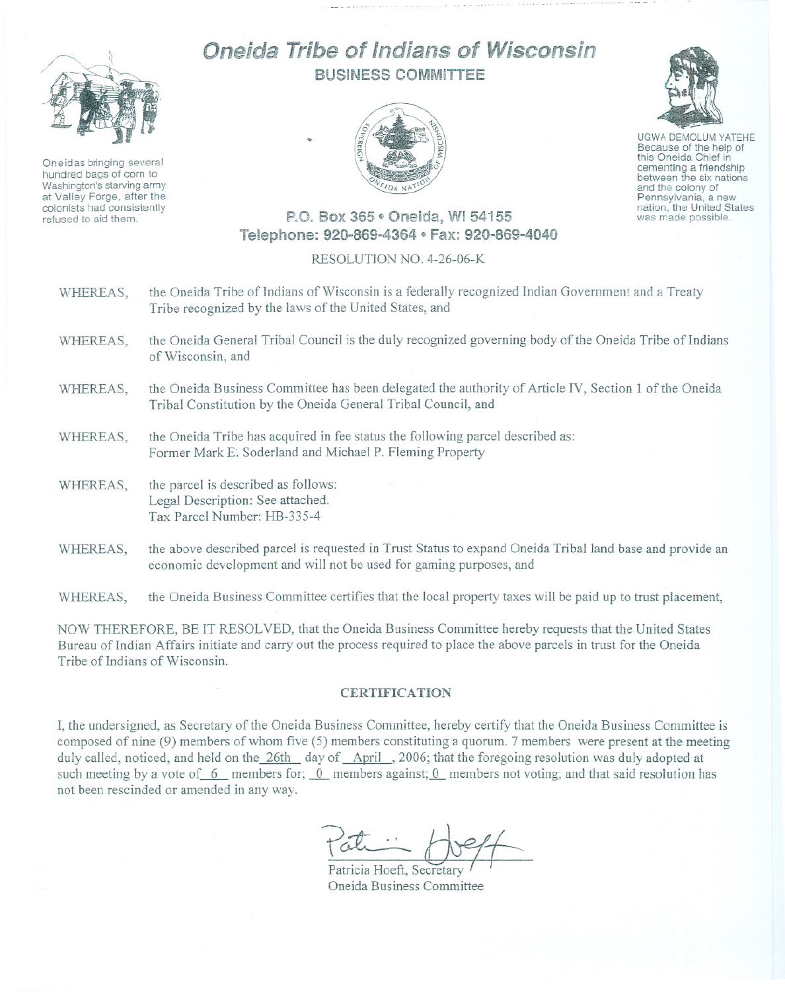

Oneidas bringing several hundred bags of corn to Washington's starving army at Valley Forge, after the colonists had consistently refused to aid them.

## Oneida Tribe of Indians of Wisconsin BUSINESS COMMITTEE





UGWA DEMOLUM YATEHE Because of the help of this Oneida Chief in cementing <sup>a</sup> friendship between the six nations and the colony of<br>Pennsylvania, a new nation, the United States was made possible.

## P.O. Box 365 · Oneida, WI 54155 Telephone: 920-869-4364 e Fax: 920-869-4040

## RESOLUTION NO. 4-26-06-K

- WHEREAS, the Oneida Tribe of Indians of Wisconsin is a federally recognized Indian Government and a Treaty Tribe recognized by the laws of the United States, and
- WHEREAS, the Oneida General Tribal Council is the duly recognized governing body of the Oneida Tribe of Indians of Wisconsin, and
- WHEREAS, the Oneida Business Committee has been delegated the authority of Article IV, Section 1 of the Oneida Tribal Constitution by the Oneida General Tribal Council, and
- WHEREAS, the Oneida Tribe has acquired in fee status the following parcel described as: Former Mark E. Soderland and Michael P. Fleming Property
- WHEREAS, the parcel is described as follows: Legal Description: See attached. Tax Parcel Number: HB-335-4
- WHEREAS, the above described parcel is requested in Trust Status to expand Oneida Tribal land base and provide an economic development and will not be used for gaming purposes, and

WHEREAS, the Oneida Business Committee certifies that the local property taxes will be paid up to trust placement,

NOW THEREFORE, BE IT RESOLVED, that the Oneida Business Committee hereby requests that the United States Bureau of Indian Affairs initiate and carry out the process required to place the above parcels in trust for the Oneida Tribe of Indians of Wisconsin.

## **CERTIFICATION**

I, the undersigned, as Secretary of the Oneida Business Committee, hereby certify that the Oneida Business Committee is composed of nine (9) members of whom five (5) members constituting a quorum. 7 members were present at the meeting duly called, noticed, and held on the 26th day of April , 2006; that the foregoing resolution was duly adopted at such meeting by a vote of 6 members for; 0 members against; 0 members not voting; and that said resolution has not been rescinded or amended in any way.

Patricia Hoeft, Secretary Oneida Business Committee